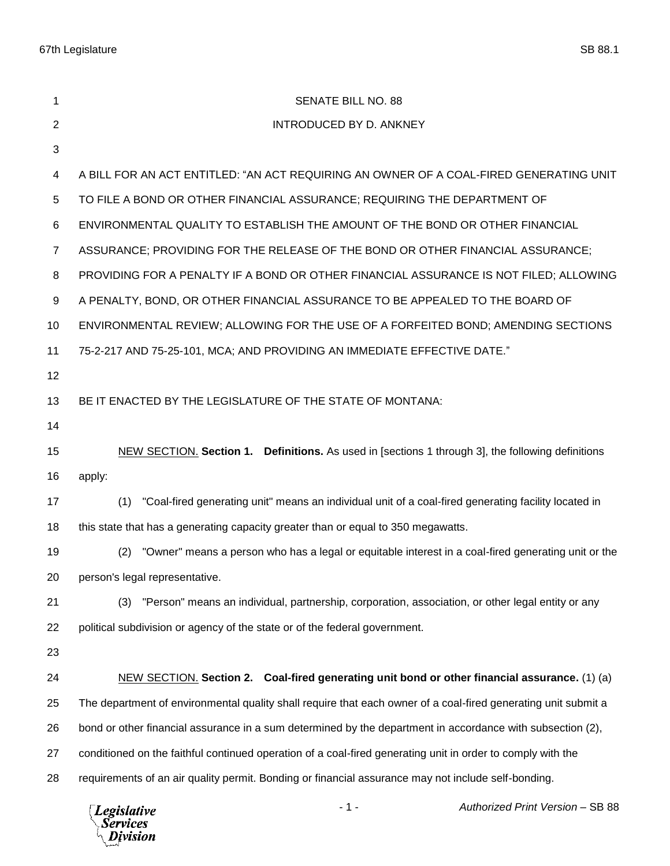| 1              | <b>SENATE BILL NO. 88</b>                                                                                      |
|----------------|----------------------------------------------------------------------------------------------------------------|
| 2              | INTRODUCED BY D. ANKNEY                                                                                        |
| 3              |                                                                                                                |
| 4              | A BILL FOR AN ACT ENTITLED: "AN ACT REQUIRING AN OWNER OF A COAL-FIRED GENERATING UNIT                         |
| 5              | TO FILE A BOND OR OTHER FINANCIAL ASSURANCE; REQUIRING THE DEPARTMENT OF                                       |
| 6              | ENVIRONMENTAL QUALITY TO ESTABLISH THE AMOUNT OF THE BOND OR OTHER FINANCIAL                                   |
| $\overline{7}$ | ASSURANCE; PROVIDING FOR THE RELEASE OF THE BOND OR OTHER FINANCIAL ASSURANCE;                                 |
| 8              | PROVIDING FOR A PENALTY IF A BOND OR OTHER FINANCIAL ASSURANCE IS NOT FILED; ALLOWING                          |
| 9              | A PENALTY, BOND, OR OTHER FINANCIAL ASSURANCE TO BE APPEALED TO THE BOARD OF                                   |
| 10             | ENVIRONMENTAL REVIEW; ALLOWING FOR THE USE OF A FORFEITED BOND; AMENDING SECTIONS                              |
| 11             | 75-2-217 AND 75-25-101, MCA; AND PROVIDING AN IMMEDIATE EFFECTIVE DATE."                                       |
| 12             |                                                                                                                |
| 13             | BE IT ENACTED BY THE LEGISLATURE OF THE STATE OF MONTANA:                                                      |
| 14             |                                                                                                                |
| 15             | NEW SECTION. Section 1. Definitions. As used in [sections 1 through 3], the following definitions              |
| 16             | apply:                                                                                                         |
| 17             | "Coal-fired generating unit" means an individual unit of a coal-fired generating facility located in<br>(1)    |
| 18             | this state that has a generating capacity greater than or equal to 350 megawatts.                              |
| 19             | "Owner" means a person who has a legal or equitable interest in a coal-fired generating unit or the<br>(2)     |
| 20             | person's legal representative.                                                                                 |
| 21             | (3) "Person" means an individual, partnership, corporation, association, or other legal entity or any          |
| 22             | political subdivision or agency of the state or of the federal government.                                     |
| 23             |                                                                                                                |
| 24             | NEW SECTION. Section 2. Coal-fired generating unit bond or other financial assurance. (1) (a)                  |
| 25             | The department of environmental quality shall require that each owner of a coal-fired generating unit submit a |
| 26             | bond or other financial assurance in a sum determined by the department in accordance with subsection (2),     |
| 27             | conditioned on the faithful continued operation of a coal-fired generating unit in order to comply with the    |
| 28             | requirements of an air quality permit. Bonding or financial assurance may not include self-bonding.            |
|                |                                                                                                                |

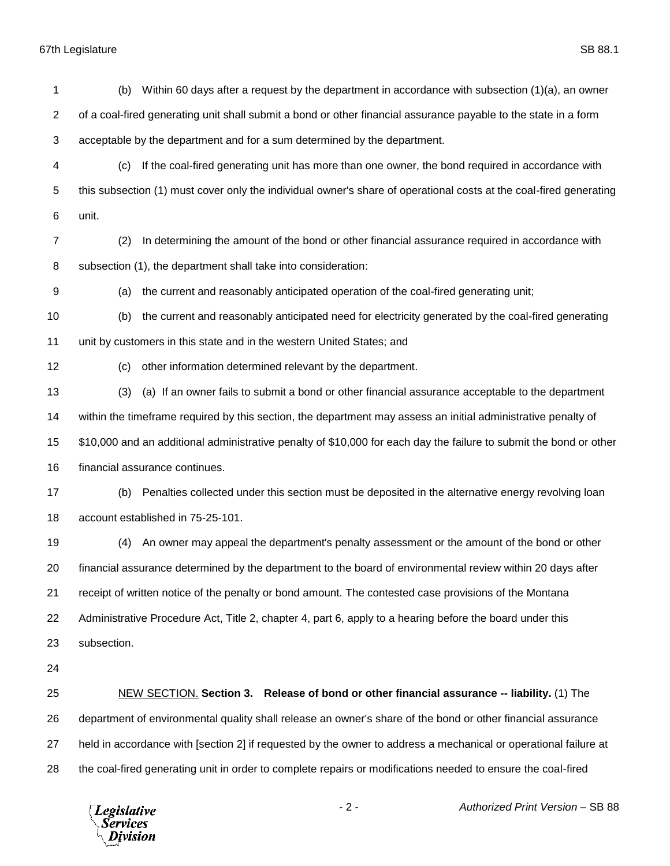| 1              | Within 60 days after a request by the department in accordance with subsection $(1)(a)$ , an owner<br>(b)          |  |  |
|----------------|--------------------------------------------------------------------------------------------------------------------|--|--|
| $\overline{c}$ | of a coal-fired generating unit shall submit a bond or other financial assurance payable to the state in a form    |  |  |
| 3              | acceptable by the department and for a sum determined by the department.                                           |  |  |
| 4              | If the coal-fired generating unit has more than one owner, the bond required in accordance with<br>(c)             |  |  |
| 5              | this subsection (1) must cover only the individual owner's share of operational costs at the coal-fired generating |  |  |
| 6              | unit.                                                                                                              |  |  |
| $\overline{7}$ | In determining the amount of the bond or other financial assurance required in accordance with<br>(2)              |  |  |
| 8              | subsection (1), the department shall take into consideration:                                                      |  |  |
| 9              | the current and reasonably anticipated operation of the coal-fired generating unit;<br>(a)                         |  |  |
| 10             | the current and reasonably anticipated need for electricity generated by the coal-fired generating<br>(b)          |  |  |
| 11             | unit by customers in this state and in the western United States; and                                              |  |  |
| 12             | other information determined relevant by the department.<br>(c)                                                    |  |  |
| 13             | (a) If an owner fails to submit a bond or other financial assurance acceptable to the department<br>(3)            |  |  |
| 14             | within the timeframe required by this section, the department may assess an initial administrative penalty of      |  |  |
| 15             | \$10,000 and an additional administrative penalty of \$10,000 for each day the failure to submit the bond or other |  |  |
| 16             | financial assurance continues.                                                                                     |  |  |
| 17             | Penalties collected under this section must be deposited in the alternative energy revolving loan<br>(b)           |  |  |
| 18             | account established in 75-25-101.                                                                                  |  |  |
| 19             | An owner may appeal the department's penalty assessment or the amount of the bond or other<br>(4)                  |  |  |
| 20             | financial assurance determined by the department to the board of environmental review within 20 days after         |  |  |
| 21             | receipt of written notice of the penalty or bond amount. The contested case provisions of the Montana              |  |  |
| 22             | Administrative Procedure Act, Title 2, chapter 4, part 6, apply to a hearing before the board under this           |  |  |
| 23             | subsection.                                                                                                        |  |  |
| 24             |                                                                                                                    |  |  |
| 25             | NEW SECTION. Section 3. Release of bond or other financial assurance -- liability. (1) The                         |  |  |
| 26             | department of environmental quality shall release an owner's share of the bond or other financial assurance        |  |  |
| 27             | held in accordance with [section 2] if requested by the owner to address a mechanical or operational failure at    |  |  |
| 28             | the coal-fired generating unit in order to complete repairs or modifications needed to ensure the coal-fired       |  |  |



- 2 - *Authorized Print Version* – SB 88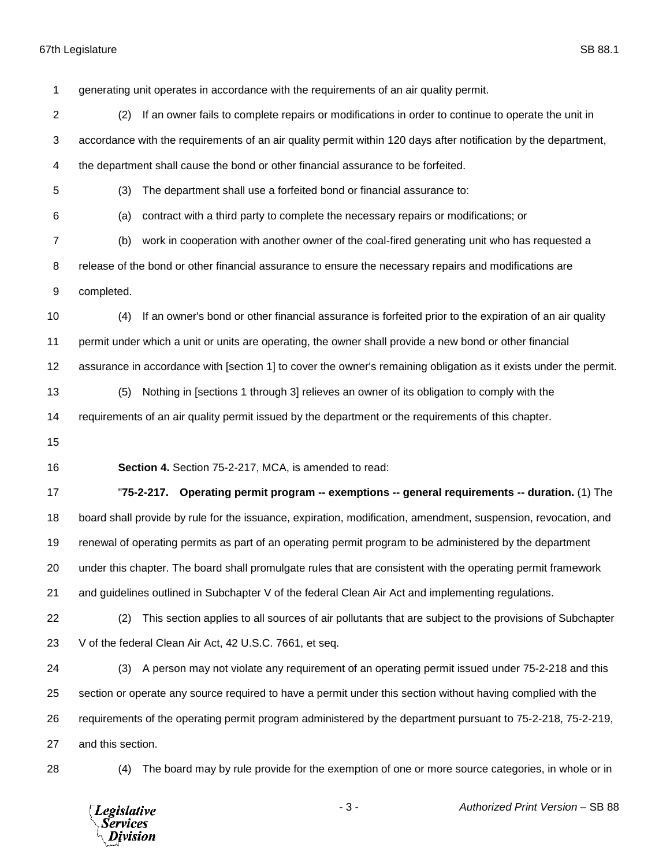generating unit operates in accordance with the requirements of an air quality permit. (2) If an owner fails to complete repairs or modifications in order to continue to operate the unit in accordance with the requirements of an air quality permit within 120 days after notification by the department, the department shall cause the bond or other financial assurance to be forfeited. (3) The department shall use a forfeited bond or financial assurance to: (a) contract with a third party to complete the necessary repairs or modifications; or (b) work in cooperation with another owner of the coal-fired generating unit who has requested a release of the bond or other financial assurance to ensure the necessary repairs and modifications are completed. (4) If an owner's bond or other financial assurance is forfeited prior to the expiration of an air quality permit under which a unit or units are operating, the owner shall provide a new bond or other financial assurance in accordance with [section 1] to cover the owner's remaining obligation as it exists under the permit. (5) Nothing in [sections 1 through 3] relieves an owner of its obligation to comply with the requirements of an air quality permit issued by the department or the requirements of this chapter. **Section 4.** Section 75-2-217, MCA, is amended to read: "**75-2-217. Operating permit program -- exemptions -- general requirements -- duration.** (1) The board shall provide by rule for the issuance, expiration, modification, amendment, suspension, revocation, and renewal of operating permits as part of an operating permit program to be administered by the department under this chapter. The board shall promulgate rules that are consistent with the operating permit framework and guidelines outlined in Subchapter V of the federal Clean Air Act and implementing regulations. (2) This section applies to all sources of air pollutants that are subject to the provisions of Subchapter V of the federal Clean Air Act, 42 U.S.C. 7661, et seq. (3) A person may not violate any requirement of an operating permit issued under 75-2-218 and this section or operate any source required to have a permit under this section without having complied with the requirements of the operating permit program administered by the department pursuant to 75-2-218, 75-2-219, and this section. (4) The board may by rule provide for the exemption of one or more source categories, in whole or in

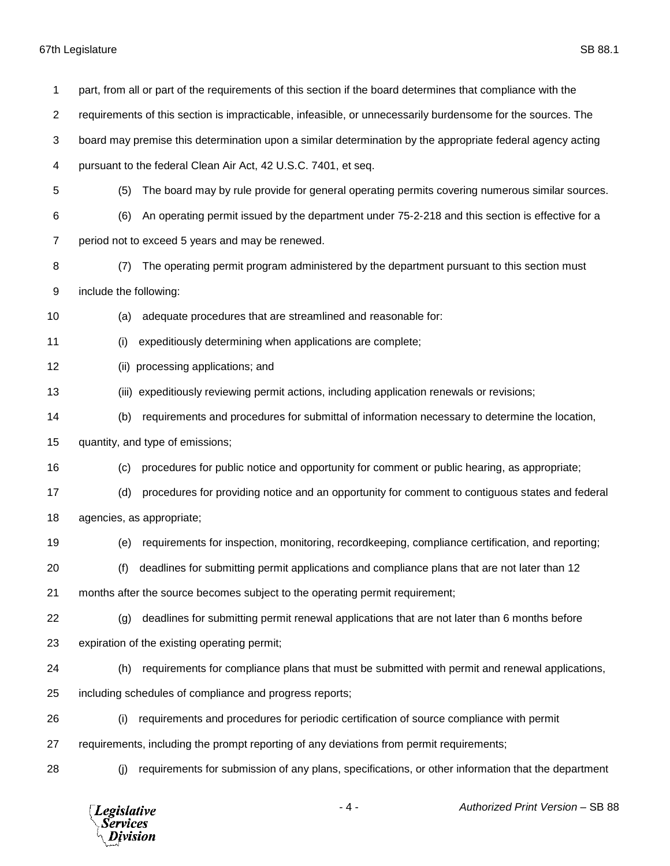| 1              |                           | part, from all or part of the requirements of this section if the board determines that compliance with the |  |
|----------------|---------------------------|-------------------------------------------------------------------------------------------------------------|--|
| $\overline{c}$ |                           | requirements of this section is impracticable, infeasible, or unnecessarily burdensome for the sources. The |  |
| 3              |                           | board may premise this determination upon a similar determination by the appropriate federal agency acting  |  |
| 4              |                           | pursuant to the federal Clean Air Act, 42 U.S.C. 7401, et seq.                                              |  |
| 5              | (5)                       | The board may by rule provide for general operating permits covering numerous similar sources.              |  |
| 6              | (6)                       | An operating permit issued by the department under 75-2-218 and this section is effective for a             |  |
| 7              |                           | period not to exceed 5 years and may be renewed.                                                            |  |
| 8              | (7)                       | The operating permit program administered by the department pursuant to this section must                   |  |
| 9              | include the following:    |                                                                                                             |  |
| 10             | (a)                       | adequate procedures that are streamlined and reasonable for:                                                |  |
| 11             | (i)                       | expeditiously determining when applications are complete;                                                   |  |
| 12             | (ii)                      | processing applications; and                                                                                |  |
| 13             |                           | (iii) expeditiously reviewing permit actions, including application renewals or revisions;                  |  |
| 14             | (b)                       | requirements and procedures for submittal of information necessary to determine the location,               |  |
| 15             |                           | quantity, and type of emissions;                                                                            |  |
| 16             | (c)                       | procedures for public notice and opportunity for comment or public hearing, as appropriate;                 |  |
| 17             | (d)                       | procedures for providing notice and an opportunity for comment to contiguous states and federal             |  |
| 18             | agencies, as appropriate; |                                                                                                             |  |
| 19             | (e)                       | requirements for inspection, monitoring, recordkeeping, compliance certification, and reporting;            |  |
| 20             |                           | deadlines for submitting permit applications and compliance plans that are not later than 12                |  |
| 21             |                           | months after the source becomes subject to the operating permit requirement;                                |  |
| 22             | (g)                       | deadlines for submitting permit renewal applications that are not later than 6 months before                |  |
| 23             |                           | expiration of the existing operating permit;                                                                |  |
| 24             | (h)                       | requirements for compliance plans that must be submitted with permit and renewal applications,              |  |
| 25             |                           | including schedules of compliance and progress reports;                                                     |  |
| 26             | (i)                       | requirements and procedures for periodic certification of source compliance with permit                     |  |
| 27             |                           | requirements, including the prompt reporting of any deviations from permit requirements;                    |  |
| 28             | (i)                       | requirements for submission of any plans, specifications, or other information that the department          |  |
|                |                           |                                                                                                             |  |



- 4 - *Authorized Print Version* – SB 88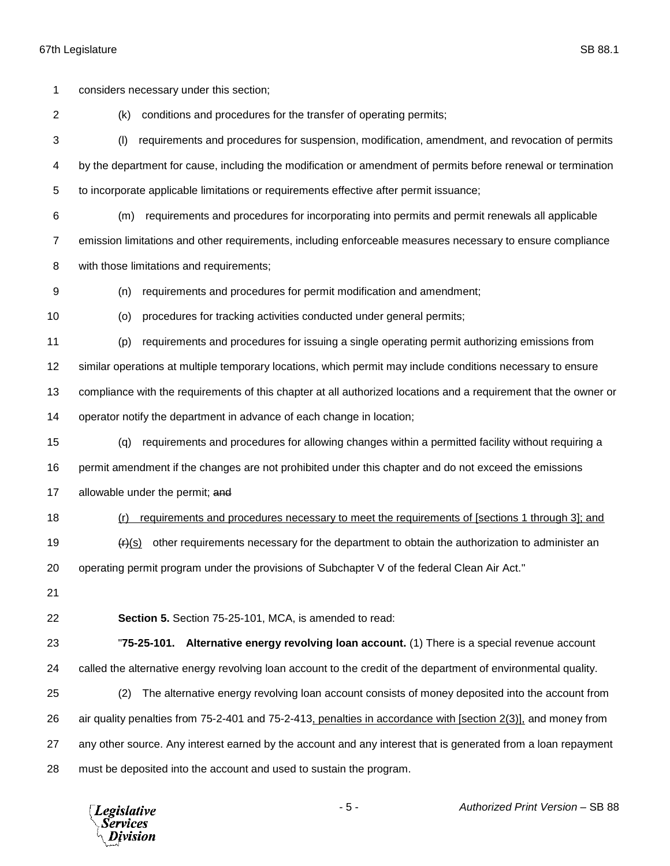considers necessary under this section; (k) conditions and procedures for the transfer of operating permits; (l) requirements and procedures for suspension, modification, amendment, and revocation of permits by the department for cause, including the modification or amendment of permits before renewal or termination to incorporate applicable limitations or requirements effective after permit issuance; (m) requirements and procedures for incorporating into permits and permit renewals all applicable emission limitations and other requirements, including enforceable measures necessary to ensure compliance with those limitations and requirements; (n) requirements and procedures for permit modification and amendment; (o) procedures for tracking activities conducted under general permits; (p) requirements and procedures for issuing a single operating permit authorizing emissions from similar operations at multiple temporary locations, which permit may include conditions necessary to ensure compliance with the requirements of this chapter at all authorized locations and a requirement that the owner or operator notify the department in advance of each change in location; (q) requirements and procedures for allowing changes within a permitted facility without requiring a permit amendment if the changes are not prohibited under this chapter and do not exceed the emissions 17 allowable under the permit; and (r) requirements and procedures necessary to meet the requirements of [sections 1 through 3]; and  $\left( \frac{H}{s} \right)$  other requirements necessary for the department to obtain the authorization to administer an 20 operating permit program under the provisions of Subchapter V of the federal Clean Air Act." **Section 5.** Section 75-25-101, MCA, is amended to read: "**75-25-101. Alternative energy revolving loan account.** (1) There is a special revenue account called the alternative energy revolving loan account to the credit of the department of environmental quality. (2) The alternative energy revolving loan account consists of money deposited into the account from air quality penalties from 75-2-401 and 75-2-413, penalties in accordance with [section 2(3)], and money from any other source. Any interest earned by the account and any interest that is generated from a loan repayment must be deposited into the account and used to sustain the program.